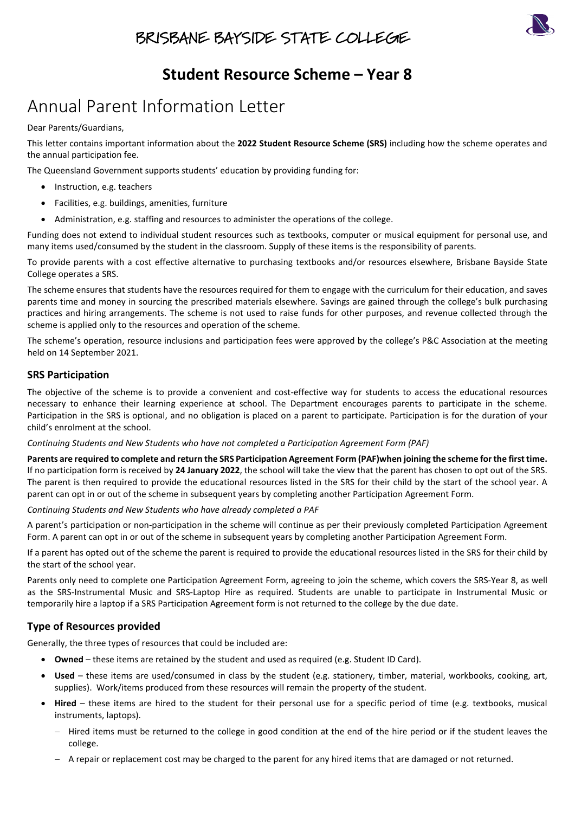# BRISBANE BAYSIDE STATE COLLEGE



# **Student Resource Scheme – Year 8**

# Annual Parent Information Letter

#### Dear Parents/Guardians,

This letter contains important information about the **2022 Student Resource Scheme (SRS)** including how the scheme operates and the annual participation fee.

The Queensland Government supports students' education by providing funding for:

- Instruction, e.g. teachers
- Facilities, e.g. buildings, amenities, furniture
- Administration, e.g. staffing and resources to administer the operations of the college.

Funding does not extend to individual student resources such as textbooks, computer or musical equipment for personal use, and many items used/consumed by the student in the classroom. Supply of these items is the responsibility of parents.

To provide parents with a cost effective alternative to purchasing textbooks and/or resources elsewhere, Brisbane Bayside State College operates a SRS.

The scheme ensures that students have the resources required for them to engage with the curriculum for their education, and saves parents time and money in sourcing the prescribed materials elsewhere. Savings are gained through the college's bulk purchasing practices and hiring arrangements. The scheme is not used to raise funds for other purposes, and revenue collected through the scheme is applied only to the resources and operation of the scheme.

The scheme's operation, resource inclusions and participation fees were approved by the college's P&C Association at the meeting held on 14 September 2021.

### **SRS Participation**

The objective of the scheme is to provide a convenient and cost-effective way for students to access the educational resources necessary to enhance their learning experience at school. The Department encourages parents to participate in the scheme. Participation in the SRS is optional, and no obligation is placed on a parent to participate. Participation is for the duration of your child's enrolment at the school.

*Continuing Students and New Students who have not completed a Participation Agreement Form (PAF)*

**Parents are required to complete and return the SRS Participation Agreement Form (PAF)when joining the scheme for the first time.** If no participation form is received by **24 January 2022**, the school will take the view that the parent has chosen to opt out of the SRS. The parent is then required to provide the educational resources listed in the SRS for their child by the start of the school year. A parent can opt in or out of the scheme in subsequent years by completing another Participation Agreement Form.

*Continuing Students and New Students who have already completed a PAF*

A parent's participation or non-participation in the scheme will continue as per their previously completed Participation Agreement Form. A parent can opt in or out of the scheme in subsequent years by completing another Participation Agreement Form.

If a parent has opted out of the scheme the parent is required to provide the educational resources listed in the SRS for their child by the start of the school year.

Parents only need to complete one Participation Agreement Form, agreeing to join the scheme, which covers the SRS-Year 8, as well as the SRS-Instrumental Music and SRS-Laptop Hire as required. Students are unable to participate in Instrumental Music or temporarily hire a laptop if a SRS Participation Agreement form is not returned to the college by the due date.

## **Type of Resources provided**

Generally, the three types of resources that could be included are:

- **Owned** these items are retained by the student and used as required (e.g. Student ID Card).
- **Used**  these items are used/consumed in class by the student (e.g. stationery, timber, material, workbooks, cooking, art, supplies). Work/items produced from these resources will remain the property of the student.
- **Hired**  these items are hired to the student for their personal use for a specific period of time (e.g. textbooks, musical instruments, laptops).
	- − Hired items must be returned to the college in good condition at the end of the hire period or if the student leaves the college.
	- − A repair or replacement cost may be charged to the parent for any hired items that are damaged or not returned.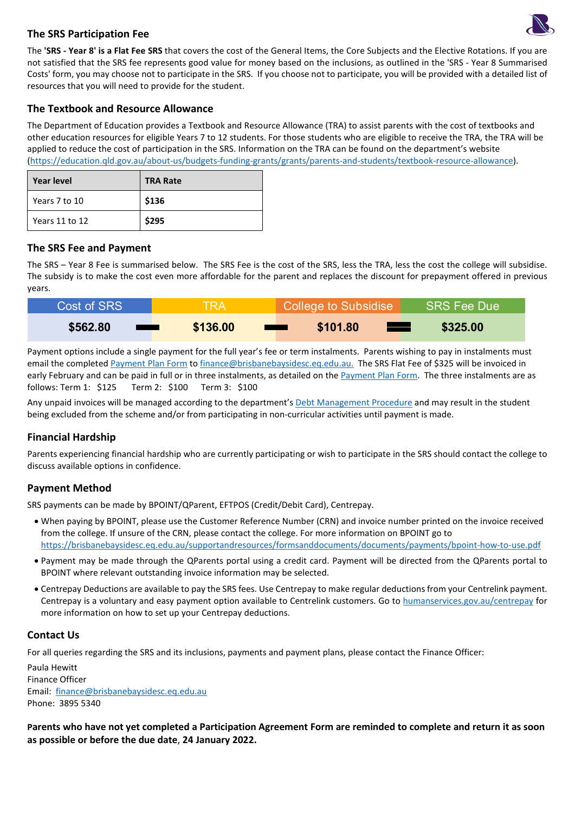

### **The SRS Participation Fee**

The **'SRS - Year 8' is a Flat Fee SRS** that covers the cost of the General Items, the Core Subjects and the Elective Rotations. If you are not satisfied that the SRS fee represents good value for money based on the inclusions, as outlined in the 'SRS - Year 8 Summarised Costs' form, you may choose not to participate in the SRS. If you choose not to participate, you will be provided with a detailed list of resources that you will need to provide for the student.

### **The Textbook and Resource Allowance**

The Department of Education provides a Textbook and Resource Allowance (TRA) to assist parents with the cost of textbooks and other education resources for eligible Years 7 to 12 students. For those students who are eligible to receive the TRA, the TRA will be applied to reduce the cost of participation in the SRS. Information on the TRA can be found on the department's website [\(https://education.qld.gov.au/about-us/budgets-funding-grants/grants/parents-and-students/textbook-resource-allowance\)](https://education.qld.gov.au/about-us/budgets-funding-grants/grants/parents-and-students/textbook-resource-allowance).

| Year level     | <b>TRA Rate</b> |
|----------------|-----------------|
| Years 7 to 10  | \$136           |
| Years 11 to 12 | \$295           |

### **The SRS Fee and Payment**

The SRS – Year 8 Fee is summarised below. The SRS Fee is the cost of the SRS, less the TRA, less the cost the college will subsidise. The subsidy is to make the cost even more affordable for the parent and replaces the discount for prepayment offered in previous years.

| Cost of SRS | TRA.                          | College to Subsidise | <b>SRS Fee Due</b> |
|-------------|-------------------------------|----------------------|--------------------|
| \$562.80    | \$136.00<br><b>The Common</b> | \$101.80             | \$325.00           |

Payment options include a single payment for the full year's fee or term instalments. Parents wishing to pay in instalments must email the complete[d Payment Plan Form](https://brisbanebaysidesc.eq.edu.au/supportandresources/formsanddocuments/documents/payments/payment-plan.pdf) to [finance@brisbanebaysidesc.eq.edu.au.](mailto:finance@brisbanebaysidesc.eq.edu.au) The SRS Flat Fee of \$325 will be invoiced in early February and can be paid in full or in three instalments, as detailed on the [Payment Plan Form.](https://brisbanebaysidesc.eq.edu.au/supportandresources/formsanddocuments/documents/payments/payment-plan.pdf) The three instalments are as follows: Term 1: \$125 Term 2: \$100 Term 3: \$100

Any unpaid invoices will be managed according to the department's [Debt Management Procedure](https://ppr.qed.qld.gov.au/pp/debt-management-procedure) and may result in the student being excluded from the scheme and/or from participating in non-curricular activities until payment is made.

## **Financial Hardship**

Parents experiencing financial hardship who are currently participating or wish to participate in the SRS should contact the college to discuss available options in confidence.

#### **Payment Method**

SRS payments can be made by BPOINT/QParent, EFTPOS (Credit/Debit Card), Centrepay.

- When paying by BPOINT, please use the Customer Reference Number (CRN) and invoice number printed on the invoice received from the college. If unsure of the CRN, please contact the college. For more information on BPOINT go to [https://brisbanebaysidesc.eq.edu.au/supportandresources/formsanddocuments/documents/payments/bpoint-how-to-use.pdf](https://brisbanebaysidesc.eq.edu.au/supportandresources/formsanddocuments/documents/payments/bpoint-how-to.pdf)
- Payment may be made through the QParents portal using a credit card. Payment will be directed from the QParents portal to BPOINT where relevant outstanding invoice information may be selected.
- Centrepay Deductions are available to pay the SRS fees. Use Centrepay to make regular deductions from your Centrelink payment. Centrepay is a voluntary and easy payment option available to Centrelink customers. Go to [humanservices.gov.au/centrepay](https://www.humanservices.gov.au/individuals/services/centrelink/centrepay) for more information on how to set up your Centrepay deductions.

#### **Contact Us**

For all queries regarding the SRS and its inclusions, payments and payment plans, please contact the Finance Officer:

Paula Hewitt Finance Officer Email: [finance@brisbanebaysidesc.eq.edu.au](mailto:finance@brisbanebaysidesc.eq.edu.au?subject=SRS%20-%20Payment/Payment%20Plan%20Query) Phone: 3895 5340

**Parents who have not yet completed a Participation Agreement Form are reminded to complete and return it as soon as possible or before the due date**, **24 January 2022.**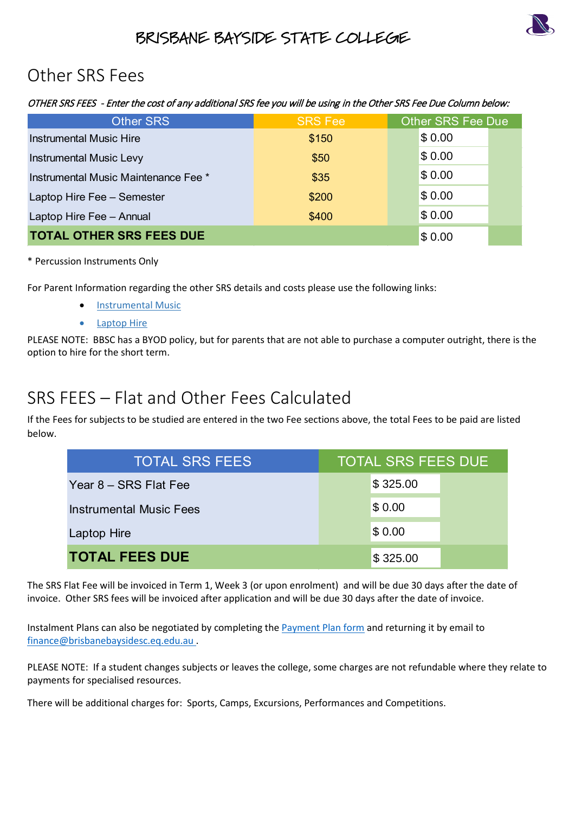

# BRISBANE BAYSIDE STATE COLLEGE

# Other SRS Fees

OTHER SRS FEES - Enter the cost of any additional SRS fee you will be using in the Other SRS Fee Due Column below:

| <b>Other SRS</b>                     | <b>SRS Fee</b> | <b>Other SRS Fee Due</b> |  |
|--------------------------------------|----------------|--------------------------|--|
| <b>Instrumental Music Hire</b>       | \$150          | \$0.00                   |  |
| <b>Instrumental Music Levy</b>       | \$50           | \$0.00                   |  |
| Instrumental Music Maintenance Fee * | \$35           | \$0.00                   |  |
| Laptop Hire Fee - Semester           | \$200          | \$0.00                   |  |
| Laptop Hire Fee - Annual             | \$400          | \$0.00                   |  |
| <b>TOTAL OTHER SRS FEES DUE</b>      |                | \$0.00                   |  |

## \* Percussion Instruments Only

For Parent Information regarding the other SRS details and costs please use the following links:

- [Instrumental Music](https://brisbanebaysidesc.eq.edu.au/SupportAndResources/FormsAndDocuments/Documents/Student-resource-scheme/instrumental-music-scheme-parent-information-letter.pdf)
- [Laptop Hire](https://brisbanebaysidesc.eq.edu.au/SupportAndResources/FormsAndDocuments/Documents/Student-resource-scheme/laptop-hire-scheme-parent-information-letter.pdf)

PLEASE NOTE: BBSC has a BYOD policy, but for parents that are not able to purchase a computer outright, there is the option to hire for the short term.

# SRS FEES – Flat and Other Fees Calculated

If the Fees for subjects to be studied are entered in the two Fee sections above, the total Fees to be paid are listed below.

| <b>L OTHER SRS FEES DUE</b>                                                                                                                                                                                                                                                         | \$0.00                    |  |  |  |
|-------------------------------------------------------------------------------------------------------------------------------------------------------------------------------------------------------------------------------------------------------------------------------------|---------------------------|--|--|--|
| sion Instruments Only                                                                                                                                                                                                                                                               |                           |  |  |  |
| nt Information regarding the other SRS details and costs please use the following links:<br><b>Instrumental Music</b><br><b>Laptop Hire</b><br>NOTE: BBSC has a BYOD policy, but for parents that are not able to purchase a computer outright, there<br>o hire for the short term. |                           |  |  |  |
| <b>FEES</b> – Flat and Other Fees Calculated<br>es for subjects to be studied are entered in the two Fee sections above, the total Fees to be paid are list                                                                                                                         |                           |  |  |  |
| <b>TOTAL SRS FEES</b>                                                                                                                                                                                                                                                               | <b>TOTAL SRS FEES DUE</b> |  |  |  |
| Year 8 - SRS Flat Fee                                                                                                                                                                                                                                                               | \$325.00                  |  |  |  |
| <b>Instrumental Music Fees</b>                                                                                                                                                                                                                                                      | \$0.00                    |  |  |  |
| Laptop Hire                                                                                                                                                                                                                                                                         | \$0.00                    |  |  |  |
| <b>TOTAL FEES DUE</b>                                                                                                                                                                                                                                                               | \$325.00                  |  |  |  |

The SRS Flat Fee will be invoiced in Term 1, Week 3 (or upon enrolment) and will be due 30 days after the date of invoice. Other SRS fees will be invoiced after application and will be due 30 days after the date of invoice.

Instalment Plans can also be negotiated by completing th[e Payment Plan form](https://brisbanebaysidesc.eq.edu.au/supportandresources/formsanddocuments/documents/payments/payment-plan.pdf) and returning it by email to [finance@brisbanebaysidesc.eq.edu.au](mailto:finance@brisbanebaysidesc.eq.edu.au?subject=SRS%20-%20Payment/Payment%20Plan%20Query) .

PLEASE NOTE: If a student changes subjects or leaves the college, some charges are not refundable where they relate to payments for specialised resources.

There will be additional charges for: Sports, Camps, Excursions, Performances and Competitions.